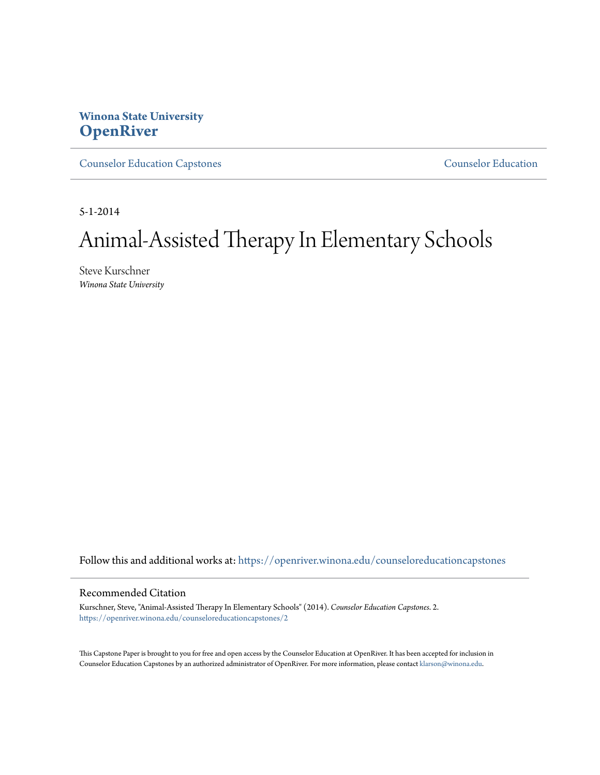# **Winona State University [OpenRiver](https://openriver.winona.edu?utm_source=openriver.winona.edu%2Fcounseloreducationcapstones%2F2&utm_medium=PDF&utm_campaign=PDFCoverPages)**

[Counselor Education Capstones](https://openriver.winona.edu/counseloreducationcapstones?utm_source=openriver.winona.edu%2Fcounseloreducationcapstones%2F2&utm_medium=PDF&utm_campaign=PDFCoverPages) [Counselor Education](https://openriver.winona.edu/counseloreducation?utm_source=openriver.winona.edu%2Fcounseloreducationcapstones%2F2&utm_medium=PDF&utm_campaign=PDFCoverPages)

5-1-2014

# Animal-Assisted Therapy In Elementary Schools

Steve Kurschner *Winona State University*

Follow this and additional works at: [https://openriver.winona.edu/counseloreducationcapstones](https://openriver.winona.edu/counseloreducationcapstones?utm_source=openriver.winona.edu%2Fcounseloreducationcapstones%2F2&utm_medium=PDF&utm_campaign=PDFCoverPages)

#### Recommended Citation

Kurschner, Steve, "Animal-Assisted Therapy In Elementary Schools" (2014). *Counselor Education Capstones*. 2. [https://openriver.winona.edu/counseloreducationcapstones/2](https://openriver.winona.edu/counseloreducationcapstones/2?utm_source=openriver.winona.edu%2Fcounseloreducationcapstones%2F2&utm_medium=PDF&utm_campaign=PDFCoverPages)

This Capstone Paper is brought to you for free and open access by the Counselor Education at OpenRiver. It has been accepted for inclusion in Counselor Education Capstones by an authorized administrator of OpenRiver. For more information, please contact [klarson@winona.edu](mailto:klarson@winona.edu).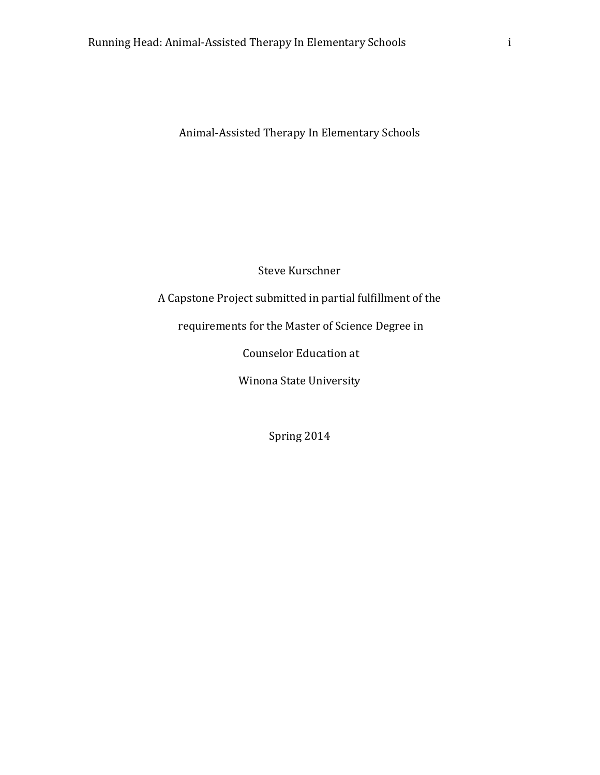Steve Kurschner

A Capstone Project submitted in partial fulfillment of the

requirements for the Master of Science Degree in

Counselor Education at

Winona State University

Spring 2014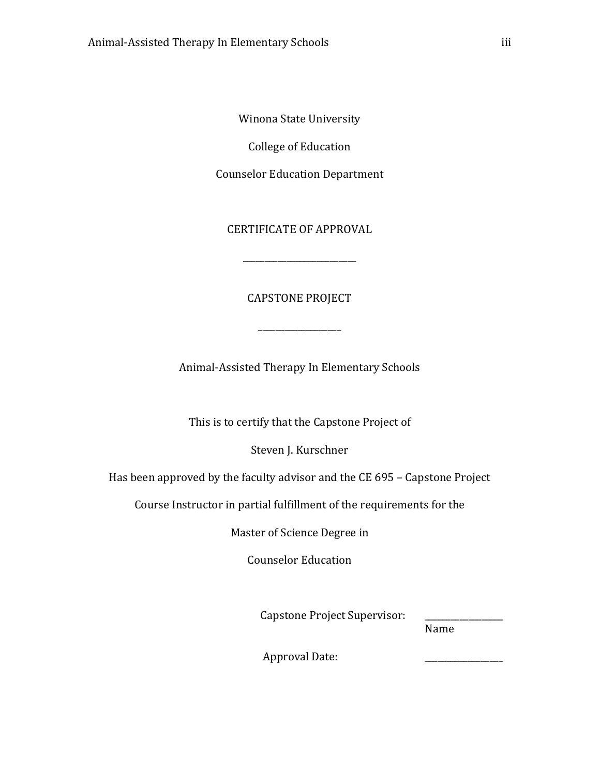Winona State University

College of Education

Counselor Education Department

CERTIFICATE OF APPROVAL

\_\_\_\_\_\_\_\_\_\_\_\_\_\_\_\_\_\_\_\_\_\_\_\_\_\_

CAPSTONE PROJECT

\_\_\_\_\_\_\_\_\_\_\_\_\_\_\_\_\_\_\_

Animal-Assisted Therapy In Elementary Schools

This is to certify that the Capstone Project of

Steven J. Kurschner

Has been approved by the faculty advisor and the CE 695 – Capstone Project

Course Instructor in partial fulfillment of the requirements for the

Master of Science Degree in

Counselor Education

Capstone Project Supervisor:

Name

Approval Date: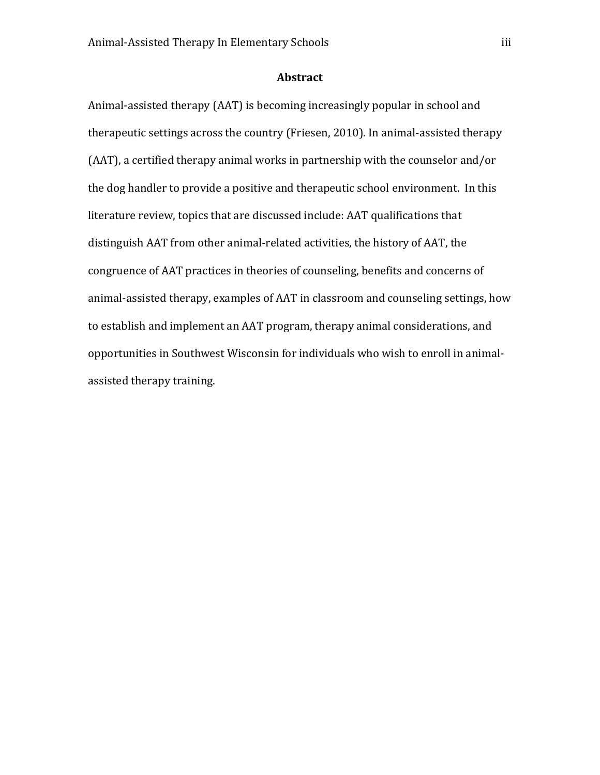# **Abstract**

Animal-assisted therapy (AAT) is becoming increasingly popular in school and therapeutic settings across the country (Friesen, 2010). In animal-assisted therapy (AAT), a certified therapy animal works in partnership with the counselor and/or the dog handler to provide a positive and therapeutic school environment. In this literature review, topics that are discussed include: AAT qualifications that distinguish AAT from other animal-related activities, the history of AAT, the congruence of AAT practices in theories of counseling, benefits and concerns of animal-assisted therapy, examples of AAT in classroom and counseling settings, how to establish and implement an AAT program, therapy animal considerations, and opportunities in Southwest Wisconsin for individuals who wish to enroll in animalassisted therapy training.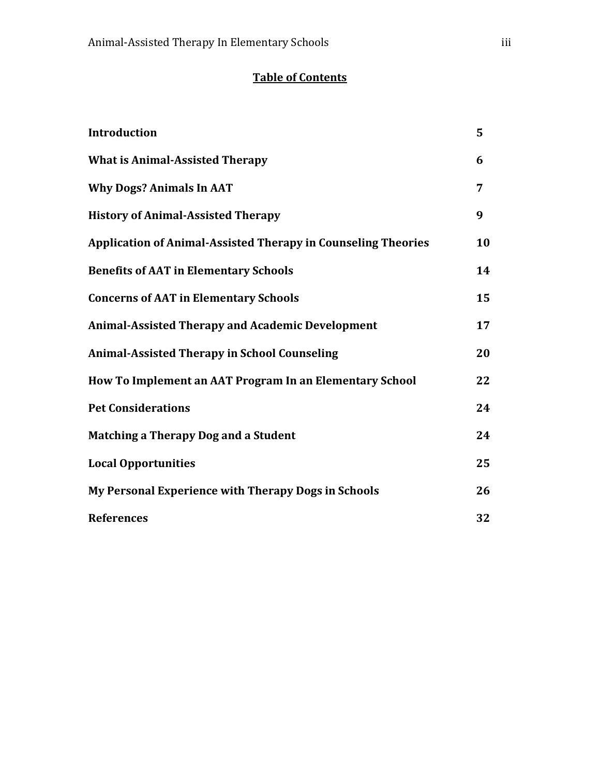# **Table of Contents**

| <b>Introduction</b>                                                  | 5  |
|----------------------------------------------------------------------|----|
| <b>What is Animal-Assisted Therapy</b>                               | 6  |
| <b>Why Dogs? Animals In AAT</b>                                      | 7  |
| <b>History of Animal-Assisted Therapy</b>                            | 9  |
| <b>Application of Animal-Assisted Therapy in Counseling Theories</b> | 10 |
| <b>Benefits of AAT in Elementary Schools</b>                         | 14 |
| <b>Concerns of AAT in Elementary Schools</b>                         | 15 |
| <b>Animal-Assisted Therapy and Academic Development</b>              | 17 |
| <b>Animal-Assisted Therapy in School Counseling</b>                  | 20 |
| How To Implement an AAT Program In an Elementary School              | 22 |
| <b>Pet Considerations</b>                                            | 24 |
| Matching a Therapy Dog and a Student                                 | 24 |
| <b>Local Opportunities</b>                                           | 25 |
| My Personal Experience with Therapy Dogs in Schools                  | 26 |
| <b>References</b>                                                    | 32 |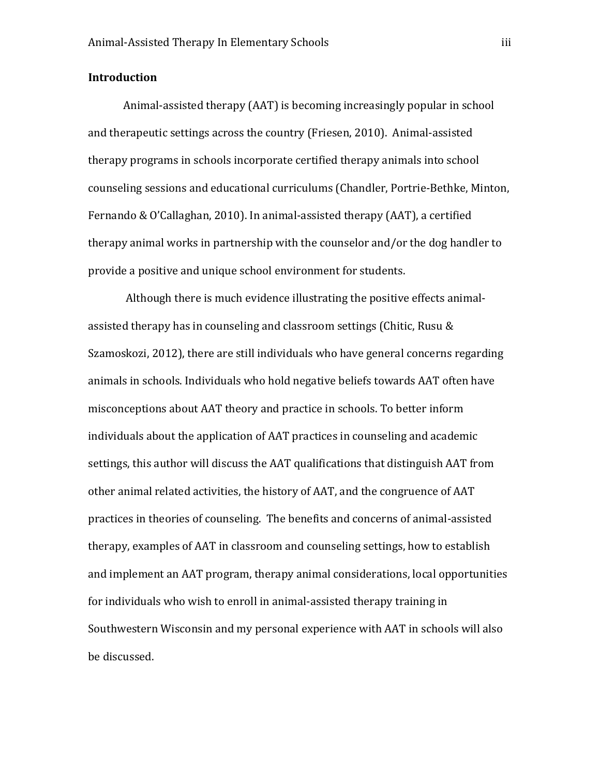# **Introduction**

Animal-assisted therapy (AAT) is becoming increasingly popular in school and therapeutic settings across the country (Friesen, 2010). Animal-assisted therapy programs in schools incorporate certified therapy animals into school counseling sessions and educational curriculums (Chandler, Portrie-Bethke, Minton, Fernando & O'Callaghan, 2010). In animal-assisted therapy (AAT), a certified therapy animal works in partnership with the counselor and/or the dog handler to provide a positive and unique school environment for students.

Although there is much evidence illustrating the positive effects animalassisted therapy has in counseling and classroom settings (Chitic, Rusu & Szamoskozi, 2012), there are still individuals who have general concerns regarding animals in schools. Individuals who hold negative beliefs towards AAT often have misconceptions about AAT theory and practice in schools. To better inform individuals about the application of AAT practices in counseling and academic settings, this author will discuss the AAT qualifications that distinguish AAT from other animal related activities, the history of AAT, and the congruence of AAT practices in theories of counseling. The benefits and concerns of animal-assisted therapy, examples of AAT in classroom and counseling settings, how to establish and implement an AAT program, therapy animal considerations, local opportunities for individuals who wish to enroll in animal-assisted therapy training in Southwestern Wisconsin and my personal experience with AAT in schools will also be discussed.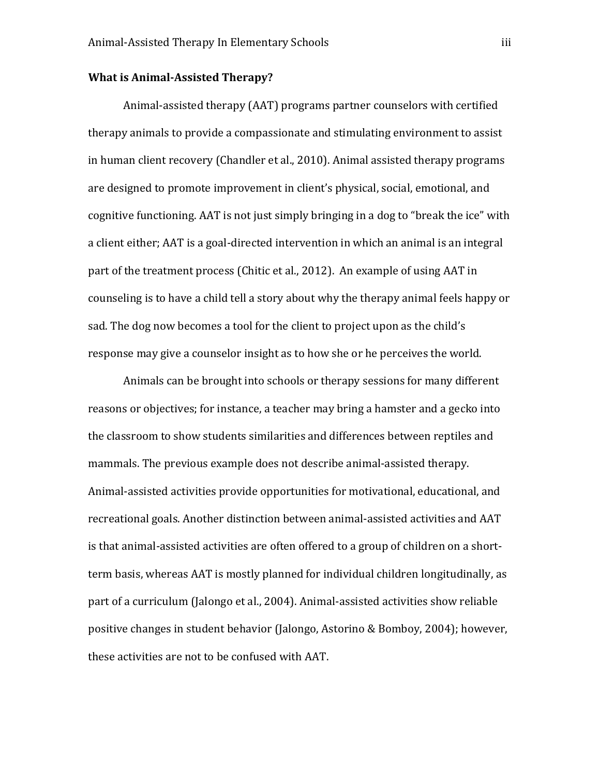# **What is Animal-Assisted Therapy?**

Animal-assisted therapy (AAT) programs partner counselors with certified therapy animals to provide a compassionate and stimulating environment to assist in human client recovery (Chandler et al., 2010). Animal assisted therapy programs are designed to promote improvement in client's physical, social, emotional, and cognitive functioning. AAT is not just simply bringing in a dog to "break the ice" with a client either; AAT is a goal-directed intervention in which an animal is an integral part of the treatment process (Chitic et al., 2012). An example of using AAT in counseling is to have a child tell a story about why the therapy animal feels happy or sad. The dog now becomes a tool for the client to project upon as the child's response may give a counselor insight as to how she or he perceives the world.

Animals can be brought into schools or therapy sessions for many different reasons or objectives; for instance, a teacher may bring a hamster and a gecko into the classroom to show students similarities and differences between reptiles and mammals. The previous example does not describe animal-assisted therapy. Animal-assisted activities provide opportunities for motivational, educational, and recreational goals. Another distinction between animal-assisted activities and AAT is that animal-assisted activities are often offered to a group of children on a shortterm basis, whereas AAT is mostly planned for individual children longitudinally, as part of a curriculum (Jalongo et al., 2004). Animal-assisted activities show reliable positive changes in student behavior (Jalongo, Astorino & Bomboy, 2004); however, these activities are not to be confused with AAT.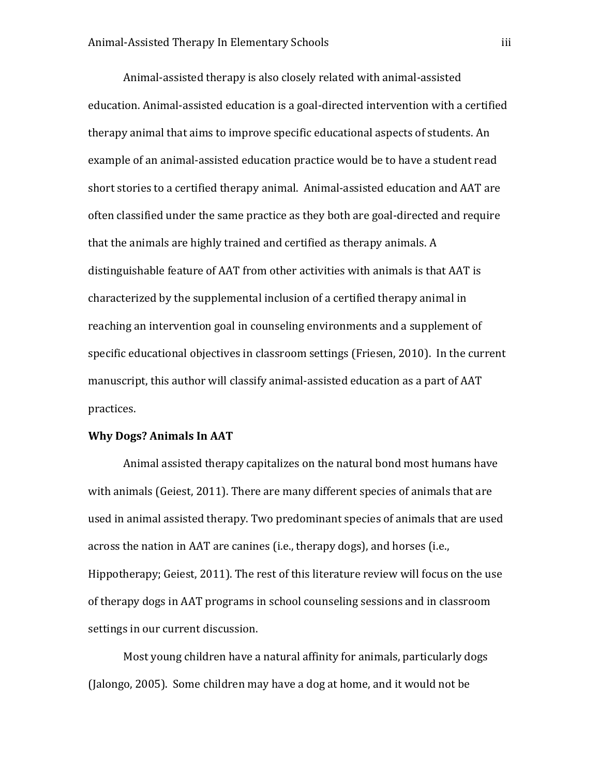Animal-assisted therapy is also closely related with animal-assisted education. Animal-assisted education is a goal-directed intervention with a certified therapy animal that aims to improve specific educational aspects of students. An example of an animal-assisted education practice would be to have a student read short stories to a certified therapy animal. Animal-assisted education and AAT are often classified under the same practice as they both are goal-directed and require that the animals are highly trained and certified as therapy animals. A distinguishable feature of AAT from other activities with animals is that AAT is characterized by the supplemental inclusion of a certified therapy animal in reaching an intervention goal in counseling environments and a supplement of specific educational objectives in classroom settings (Friesen, 2010). In the current manuscript, this author will classify animal-assisted education as a part of AAT practices.

# **Why Dogs? Animals In AAT**

Animal assisted therapy capitalizes on the natural bond most humans have with animals (Geiest, 2011). There are many different species of animals that are used in animal assisted therapy. Two predominant species of animals that are used across the nation in AAT are canines (i.e., therapy dogs), and horses (i.e., Hippotherapy; Geiest, 2011). The rest of this literature review will focus on the use of therapy dogs in AAT programs in school counseling sessions and in classroom settings in our current discussion.

Most young children have a natural affinity for animals, particularly dogs (Jalongo, 2005). Some children may have a dog at home, and it would not be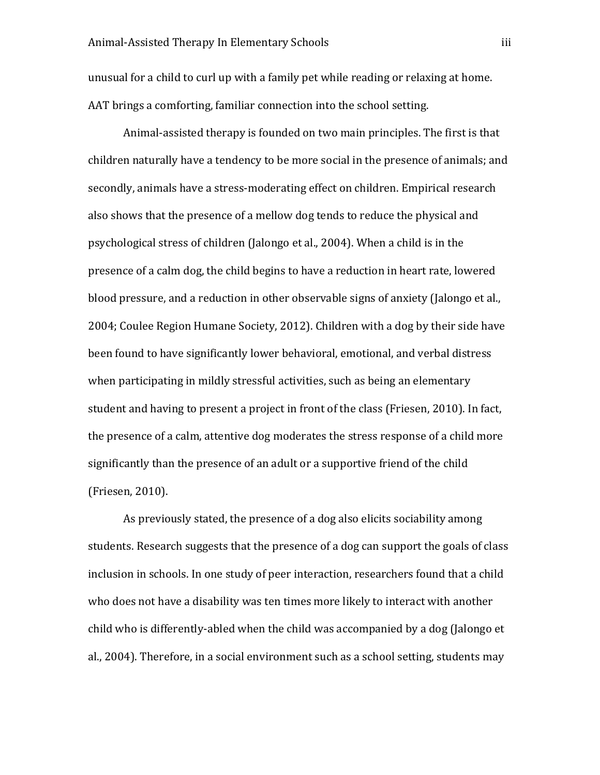unusual for a child to curl up with a family pet while reading or relaxing at home. AAT brings a comforting, familiar connection into the school setting.

Animal-assisted therapy is founded on two main principles. The first is that children naturally have a tendency to be more social in the presence of animals; and secondly, animals have a stress-moderating effect on children. Empirical research also shows that the presence of a mellow dog tends to reduce the physical and psychological stress of children (Jalongo et al., 2004). When a child is in the presence of a calm dog, the child begins to have a reduction in heart rate, lowered blood pressure, and a reduction in other observable signs of anxiety (Jalongo et al., 2004; Coulee Region Humane Society, 2012). Children with a dog by their side have been found to have significantly lower behavioral, emotional, and verbal distress when participating in mildly stressful activities, such as being an elementary student and having to present a project in front of the class (Friesen, 2010). In fact, the presence of a calm, attentive dog moderates the stress response of a child more significantly than the presence of an adult or a supportive friend of the child (Friesen, 2010).

As previously stated, the presence of a dog also elicits sociability among students. Research suggests that the presence of a dog can support the goals of class inclusion in schools. In one study of peer interaction, researchers found that a child who does not have a disability was ten times more likely to interact with another child who is differently-abled when the child was accompanied by a dog (Jalongo et al., 2004). Therefore, in a social environment such as a school setting, students may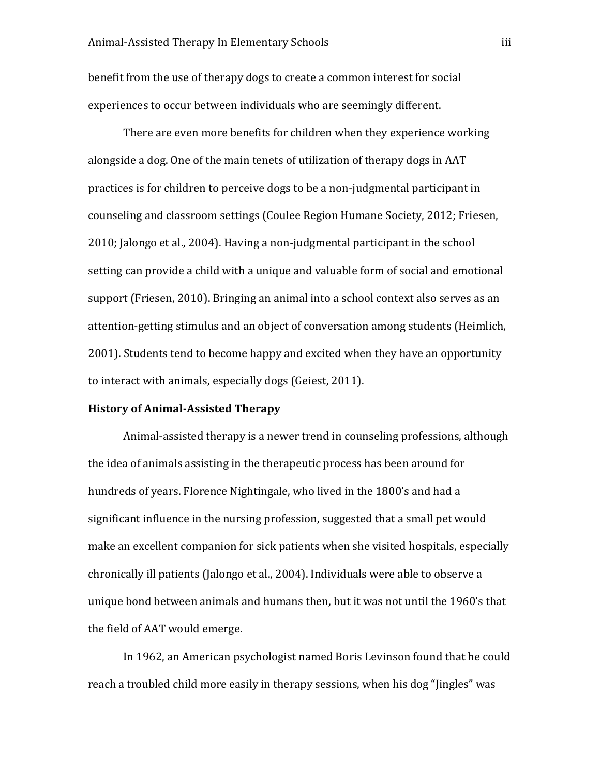benefit from the use of therapy dogs to create a common interest for social experiences to occur between individuals who are seemingly different.

There are even more benefits for children when they experience working alongside a dog. One of the main tenets of utilization of therapy dogs in AAT practices is for children to perceive dogs to be a non-judgmental participant in counseling and classroom settings (Coulee Region Humane Society, 2012; Friesen, 2010; Jalongo et al., 2004). Having a non-judgmental participant in the school setting can provide a child with a unique and valuable form of social and emotional support (Friesen, 2010). Bringing an animal into a school context also serves as an attention-getting stimulus and an object of conversation among students (Heimlich, 2001). Students tend to become happy and excited when they have an opportunity to interact with animals, especially dogs (Geiest, 2011).

#### **History of Animal-Assisted Therapy**

Animal-assisted therapy is a newer trend in counseling professions, although the idea of animals assisting in the therapeutic process has been around for hundreds of years. Florence Nightingale, who lived in the 1800's and had a significant influence in the nursing profession, suggested that a small pet would make an excellent companion for sick patients when she visited hospitals, especially chronically ill patients (Jalongo et al., 2004). Individuals were able to observe a unique bond between animals and humans then, but it was not until the 1960's that the field of AAT would emerge.

In 1962, an American psychologist named Boris Levinson found that he could reach a troubled child more easily in therapy sessions, when his dog "Jingles" was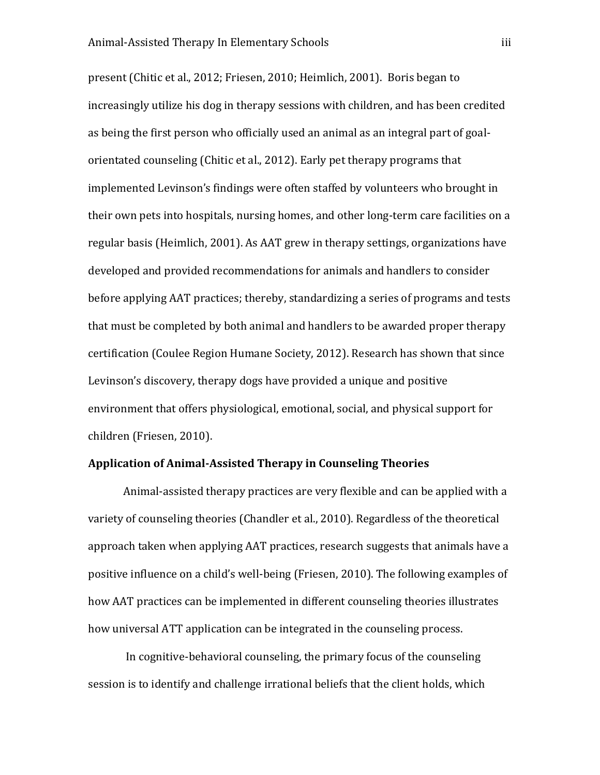present (Chitic et al., 2012; Friesen, 2010; Heimlich, 2001). Boris began to increasingly utilize his dog in therapy sessions with children, and has been credited as being the first person who officially used an animal as an integral part of goalorientated counseling (Chitic et al., 2012). Early pet therapy programs that implemented Levinson's findings were often staffed by volunteers who brought in their own pets into hospitals, nursing homes, and other long-term care facilities on a regular basis (Heimlich, 2001). As AAT grew in therapy settings, organizations have developed and provided recommendations for animals and handlers to consider before applying AAT practices; thereby, standardizing a series of programs and tests that must be completed by both animal and handlers to be awarded proper therapy certification (Coulee Region Humane Society, 2012). Research has shown that since Levinson's discovery, therapy dogs have provided a unique and positive environment that offers physiological, emotional, social, and physical support for children (Friesen, 2010).

# **Application of Animal-Assisted Therapy in Counseling Theories**

Animal-assisted therapy practices are very flexible and can be applied with a variety of counseling theories (Chandler et al., 2010). Regardless of the theoretical approach taken when applying AAT practices, research suggests that animals have a positive influence on a child's well-being (Friesen, 2010). The following examples of how AAT practices can be implemented in different counseling theories illustrates how universal ATT application can be integrated in the counseling process.

In cognitive-behavioral counseling, the primary focus of the counseling session is to identify and challenge irrational beliefs that the client holds, which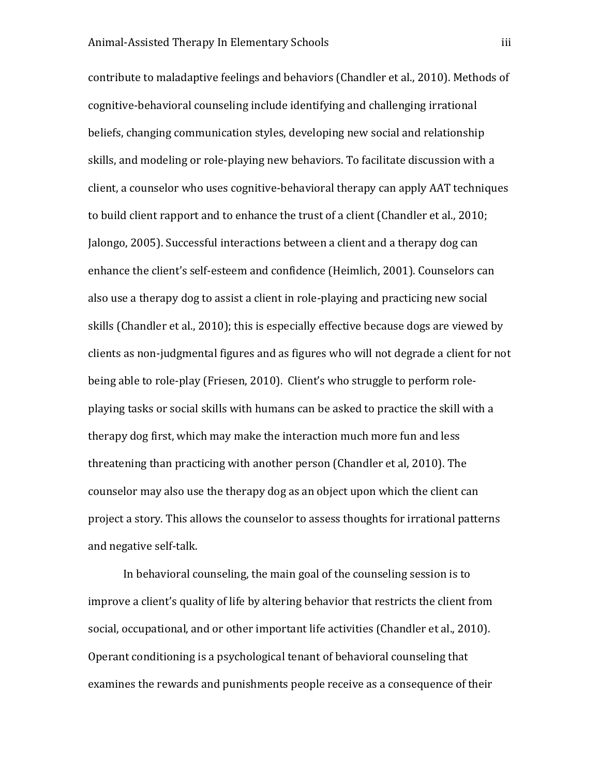contribute to maladaptive feelings and behaviors (Chandler et al., 2010). Methods of cognitive-behavioral counseling include identifying and challenging irrational beliefs, changing communication styles, developing new social and relationship skills, and modeling or role-playing new behaviors. To facilitate discussion with a client, a counselor who uses cognitive-behavioral therapy can apply AAT techniques to build client rapport and to enhance the trust of a client (Chandler et al., 2010; Jalongo, 2005). Successful interactions between a client and a therapy dog can enhance the client's self-esteem and confidence (Heimlich, 2001). Counselors can also use a therapy dog to assist a client in role-playing and practicing new social skills (Chandler et al., 2010); this is especially effective because dogs are viewed by clients as non-judgmental figures and as figures who will not degrade a client for not being able to role-play (Friesen, 2010). Client's who struggle to perform roleplaying tasks or social skills with humans can be asked to practice the skill with a therapy dog first, which may make the interaction much more fun and less threatening than practicing with another person (Chandler et al, 2010). The counselor may also use the therapy dog as an object upon which the client can project a story. This allows the counselor to assess thoughts for irrational patterns and negative self-talk.

In behavioral counseling, the main goal of the counseling session is to improve a client's quality of life by altering behavior that restricts the client from social, occupational, and or other important life activities (Chandler et al., 2010). Operant conditioning is a psychological tenant of behavioral counseling that examines the rewards and punishments people receive as a consequence of their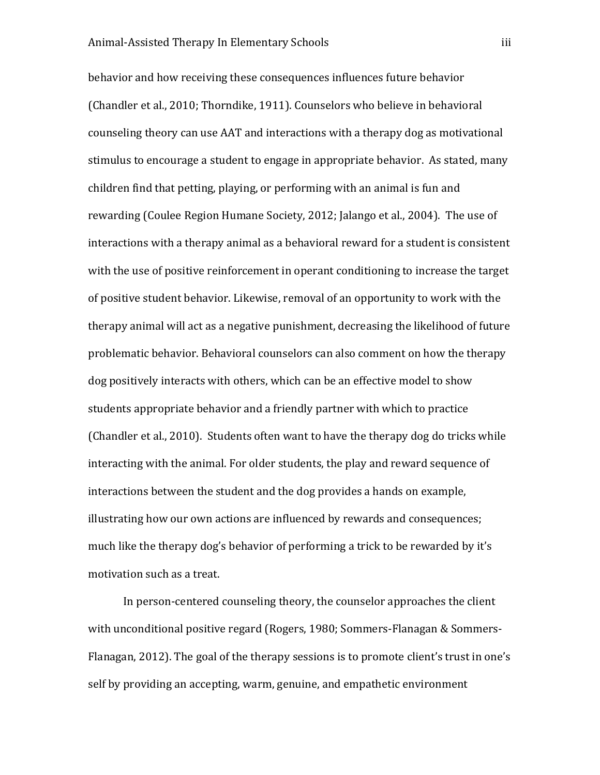behavior and how receiving these consequences influences future behavior (Chandler et al., 2010; Thorndike, 1911). Counselors who believe in behavioral counseling theory can use AAT and interactions with a therapy dog as motivational stimulus to encourage a student to engage in appropriate behavior. As stated, many children find that petting, playing, or performing with an animal is fun and rewarding (Coulee Region Humane Society, 2012; Jalango et al., 2004). The use of interactions with a therapy animal as a behavioral reward for a student is consistent with the use of positive reinforcement in operant conditioning to increase the target of positive student behavior. Likewise, removal of an opportunity to work with the therapy animal will act as a negative punishment, decreasing the likelihood of future problematic behavior. Behavioral counselors can also comment on how the therapy dog positively interacts with others, which can be an effective model to show students appropriate behavior and a friendly partner with which to practice (Chandler et al., 2010). Students often want to have the therapy dog do tricks while interacting with the animal. For older students, the play and reward sequence of interactions between the student and the dog provides a hands on example, illustrating how our own actions are influenced by rewards and consequences; much like the therapy dog's behavior of performing a trick to be rewarded by it's motivation such as a treat.

In person-centered counseling theory, the counselor approaches the client with unconditional positive regard (Rogers, 1980; Sommers-Flanagan & Sommers-Flanagan, 2012). The goal of the therapy sessions is to promote client's trust in one's self by providing an accepting, warm, genuine, and empathetic environment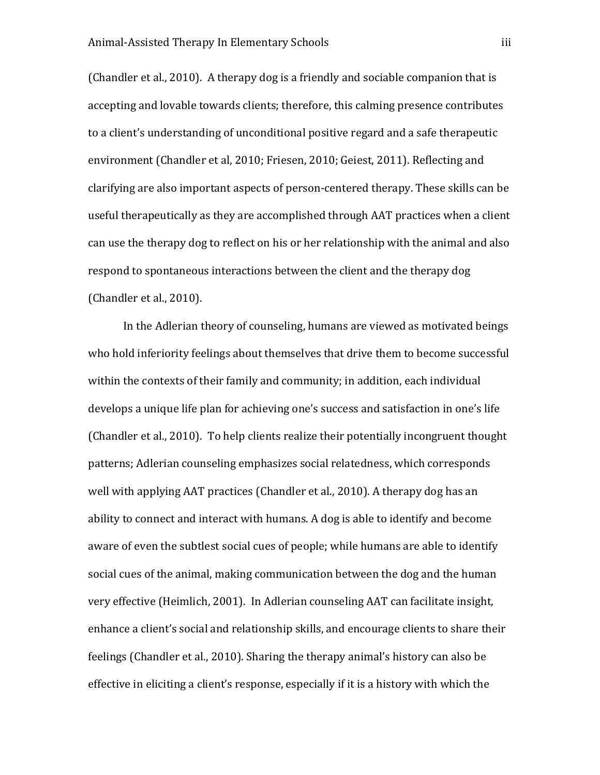(Chandler et al., 2010). A therapy dog is a friendly and sociable companion that is accepting and lovable towards clients; therefore, this calming presence contributes to a client's understanding of unconditional positive regard and a safe therapeutic environment (Chandler et al, 2010; Friesen, 2010; Geiest, 2011). Reflecting and clarifying are also important aspects of person-centered therapy. These skills can be useful therapeutically as they are accomplished through AAT practices when a client can use the therapy dog to reflect on his or her relationship with the animal and also respond to spontaneous interactions between the client and the therapy dog (Chandler et al., 2010).

In the Adlerian theory of counseling, humans are viewed as motivated beings who hold inferiority feelings about themselves that drive them to become successful within the contexts of their family and community; in addition, each individual develops a unique life plan for achieving one's success and satisfaction in one's life (Chandler et al., 2010). To help clients realize their potentially incongruent thought patterns; Adlerian counseling emphasizes social relatedness, which corresponds well with applying AAT practices (Chandler et al., 2010). A therapy dog has an ability to connect and interact with humans. A dog is able to identify and become aware of even the subtlest social cues of people; while humans are able to identify social cues of the animal, making communication between the dog and the human very effective (Heimlich, 2001). In Adlerian counseling AAT can facilitate insight, enhance a client's social and relationship skills, and encourage clients to share their feelings (Chandler et al., 2010). Sharing the therapy animal's history can also be effective in eliciting a client's response, especially if it is a history with which the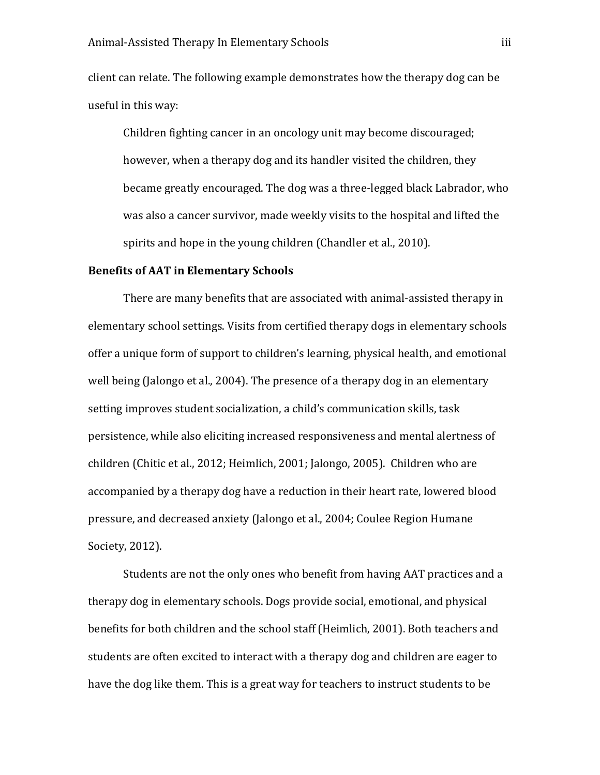client can relate. The following example demonstrates how the therapy dog can be useful in this way:

Children fighting cancer in an oncology unit may become discouraged; however, when a therapy dog and its handler visited the children, they became greatly encouraged. The dog was a three-legged black Labrador, who was also a cancer survivor, made weekly visits to the hospital and lifted the spirits and hope in the young children (Chandler et al., 2010).

#### **Benefits of AAT in Elementary Schools**

There are many benefits that are associated with animal-assisted therapy in elementary school settings. Visits from certified therapy dogs in elementary schools offer a unique form of support to children's learning, physical health, and emotional well being (Jalongo et al., 2004). The presence of a therapy dog in an elementary setting improves student socialization, a child's communication skills, task persistence, while also eliciting increased responsiveness and mental alertness of children (Chitic et al., 2012; Heimlich, 2001; Jalongo, 2005). Children who are accompanied by a therapy dog have a reduction in their heart rate, lowered blood pressure, and decreased anxiety (Jalongo et al., 2004; Coulee Region Humane Society, 2012).

Students are not the only ones who benefit from having AAT practices and a therapy dog in elementary schools. Dogs provide social, emotional, and physical benefits for both children and the school staff (Heimlich, 2001). Both teachers and students are often excited to interact with a therapy dog and children are eager to have the dog like them. This is a great way for teachers to instruct students to be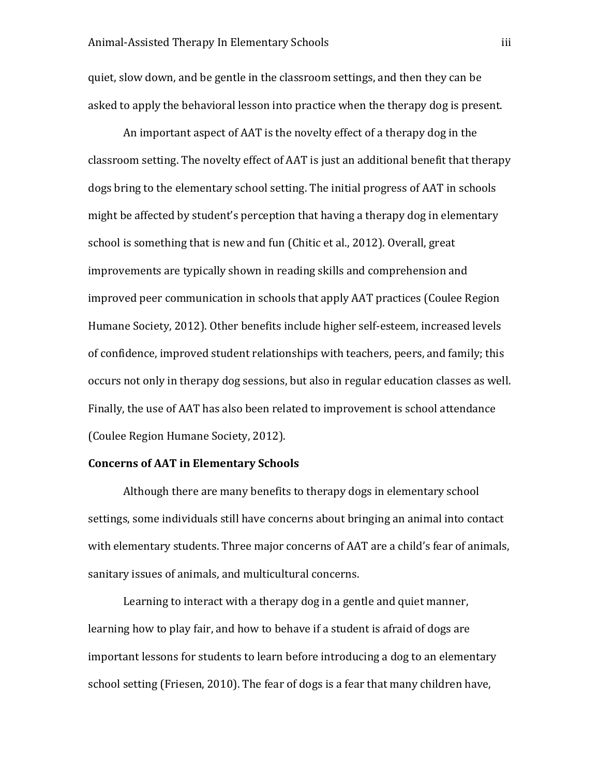quiet, slow down, and be gentle in the classroom settings, and then they can be asked to apply the behavioral lesson into practice when the therapy dog is present.

An important aspect of AAT is the novelty effect of a therapy dog in the classroom setting. The novelty effect of AAT is just an additional benefit that therapy dogs bring to the elementary school setting. The initial progress of AAT in schools might be affected by student's perception that having a therapy dog in elementary school is something that is new and fun (Chitic et al., 2012). Overall, great improvements are typically shown in reading skills and comprehension and improved peer communication in schools that apply AAT practices (Coulee Region Humane Society, 2012). Other benefits include higher self-esteem, increased levels of confidence, improved student relationships with teachers, peers, and family; this occurs not only in therapy dog sessions, but also in regular education classes as well. Finally, the use of AAT has also been related to improvement is school attendance (Coulee Region Humane Society, 2012).

# **Concerns of AAT in Elementary Schools**

Although there are many benefits to therapy dogs in elementary school settings, some individuals still have concerns about bringing an animal into contact with elementary students. Three major concerns of AAT are a child's fear of animals, sanitary issues of animals, and multicultural concerns.

Learning to interact with a therapy dog in a gentle and quiet manner, learning how to play fair, and how to behave if a student is afraid of dogs are important lessons for students to learn before introducing a dog to an elementary school setting (Friesen, 2010). The fear of dogs is a fear that many children have,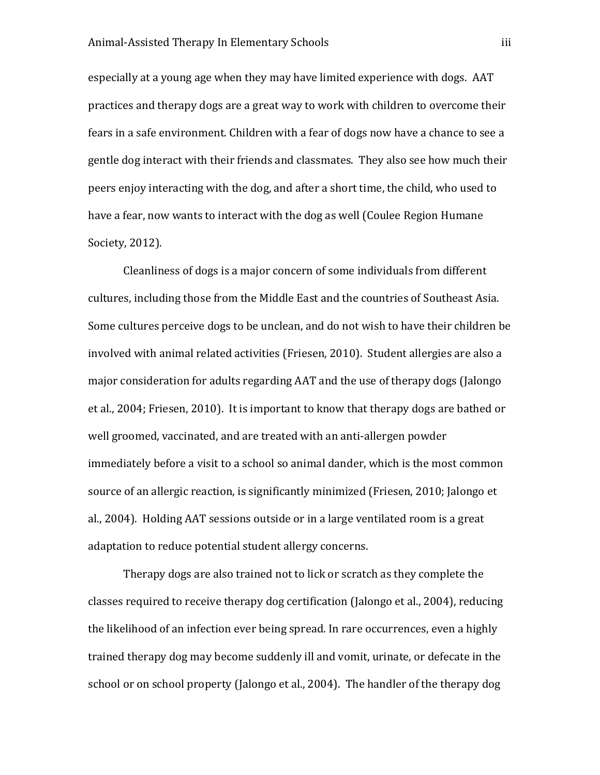especially at a young age when they may have limited experience with dogs. AAT practices and therapy dogs are a great way to work with children to overcome their fears in a safe environment. Children with a fear of dogs now have a chance to see a gentle dog interact with their friends and classmates. They also see how much their peers enjoy interacting with the dog, and after a short time, the child, who used to have a fear, now wants to interact with the dog as well (Coulee Region Humane Society, 2012).

Cleanliness of dogs is a major concern of some individuals from different cultures, including those from the Middle East and the countries of Southeast Asia. Some cultures perceive dogs to be unclean, and do not wish to have their children be involved with animal related activities (Friesen, 2010). Student allergies are also a major consideration for adults regarding AAT and the use of therapy dogs (Jalongo et al., 2004; Friesen, 2010). It is important to know that therapy dogs are bathed or well groomed, vaccinated, and are treated with an anti-allergen powder immediately before a visit to a school so animal dander, which is the most common source of an allergic reaction, is significantly minimized (Friesen, 2010; Jalongo et al., 2004). Holding AAT sessions outside or in a large ventilated room is a great adaptation to reduce potential student allergy concerns.

Therapy dogs are also trained not to lick or scratch as they complete the classes required to receive therapy dog certification (Jalongo et al., 2004), reducing the likelihood of an infection ever being spread. In rare occurrences, even a highly trained therapy dog may become suddenly ill and vomit, urinate, or defecate in the school or on school property (Jalongo et al., 2004). The handler of the therapy dog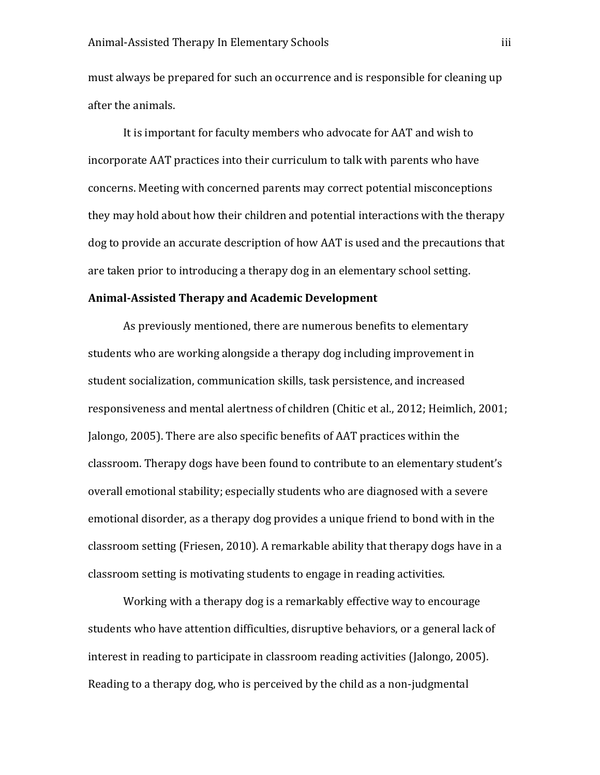must always be prepared for such an occurrence and is responsible for cleaning up after the animals.

It is important for faculty members who advocate for AAT and wish to incorporate AAT practices into their curriculum to talk with parents who have concerns. Meeting with concerned parents may correct potential misconceptions they may hold about how their children and potential interactions with the therapy dog to provide an accurate description of how AAT is used and the precautions that are taken prior to introducing a therapy dog in an elementary school setting.

# **Animal-Assisted Therapy and Academic Development**

As previously mentioned, there are numerous benefits to elementary students who are working alongside a therapy dog including improvement in student socialization, communication skills, task persistence, and increased responsiveness and mental alertness of children (Chitic et al., 2012; Heimlich, 2001; Jalongo, 2005). There are also specific benefits of AAT practices within the classroom. Therapy dogs have been found to contribute to an elementary student's overall emotional stability; especially students who are diagnosed with a severe emotional disorder, as a therapy dog provides a unique friend to bond with in the classroom setting (Friesen, 2010). A remarkable ability that therapy dogs have in a classroom setting is motivating students to engage in reading activities.

Working with a therapy dog is a remarkably effective way to encourage students who have attention difficulties, disruptive behaviors, or a general lack of interest in reading to participate in classroom reading activities (Jalongo, 2005). Reading to a therapy dog, who is perceived by the child as a non-judgmental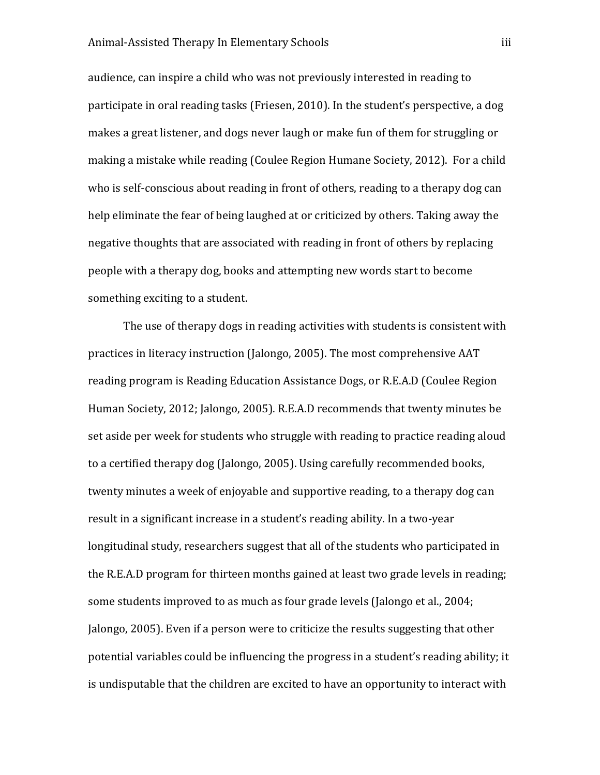audience, can inspire a child who was not previously interested in reading to participate in oral reading tasks (Friesen, 2010). In the student's perspective, a dog makes a great listener, and dogs never laugh or make fun of them for struggling or making a mistake while reading (Coulee Region Humane Society, 2012). For a child who is self-conscious about reading in front of others, reading to a therapy dog can help eliminate the fear of being laughed at or criticized by others. Taking away the negative thoughts that are associated with reading in front of others by replacing people with a therapy dog, books and attempting new words start to become something exciting to a student.

The use of therapy dogs in reading activities with students is consistent with practices in literacy instruction (Jalongo, 2005). The most comprehensive AAT reading program is Reading Education Assistance Dogs, or R.E.A.D (Coulee Region Human Society, 2012; Jalongo, 2005). R.E.A.D recommends that twenty minutes be set aside per week for students who struggle with reading to practice reading aloud to a certified therapy dog (Jalongo, 2005). Using carefully recommended books, twenty minutes a week of enjoyable and supportive reading, to a therapy dog can result in a significant increase in a student's reading ability. In a two-year longitudinal study, researchers suggest that all of the students who participated in the R.E.A.D program for thirteen months gained at least two grade levels in reading; some students improved to as much as four grade levels (Jalongo et al., 2004; Jalongo, 2005). Even if a person were to criticize the results suggesting that other potential variables could be influencing the progress in a student's reading ability; it is undisputable that the children are excited to have an opportunity to interact with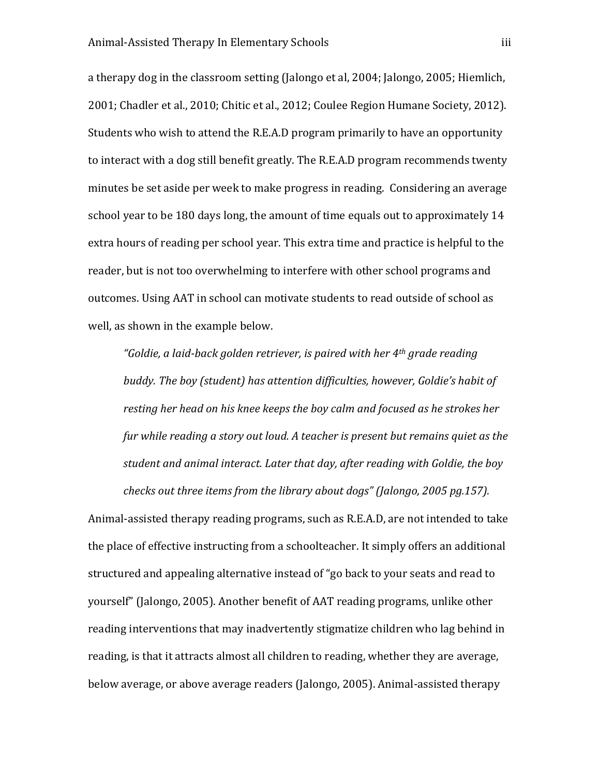a therapy dog in the classroom setting (Jalongo et al, 2004; Jalongo, 2005; Hiemlich, 2001; Chadler et al., 2010; Chitic et al., 2012; Coulee Region Humane Society, 2012). Students who wish to attend the R.E.A.D program primarily to have an opportunity to interact with a dog still benefit greatly. The R.E.A.D program recommends twenty minutes be set aside per week to make progress in reading. Considering an average school year to be 180 days long, the amount of time equals out to approximately 14 extra hours of reading per school year. This extra time and practice is helpful to the reader, but is not too overwhelming to interfere with other school programs and outcomes. Using AAT in school can motivate students to read outside of school as well, as shown in the example below.

*"Goldie, a laid-back golden retriever, is paired with her 4th grade reading buddy. The boy (student) has attention difficulties, however, Goldie's habit of resting her head on his knee keeps the boy calm and focused as he strokes her fur while reading a story out loud. A teacher is present but remains quiet as the student and animal interact. Later that day, after reading with Goldie, the boy checks out three items from the library about dogs" (Jalongo, 2005 pg.157).*

Animal-assisted therapy reading programs, such as R.E.A.D, are not intended to take the place of effective instructing from a schoolteacher. It simply offers an additional structured and appealing alternative instead of "go back to your seats and read to yourself" (Jalongo, 2005). Another benefit of AAT reading programs, unlike other reading interventions that may inadvertently stigmatize children who lag behind in reading, is that it attracts almost all children to reading, whether they are average, below average, or above average readers (Jalongo, 2005). Animal-assisted therapy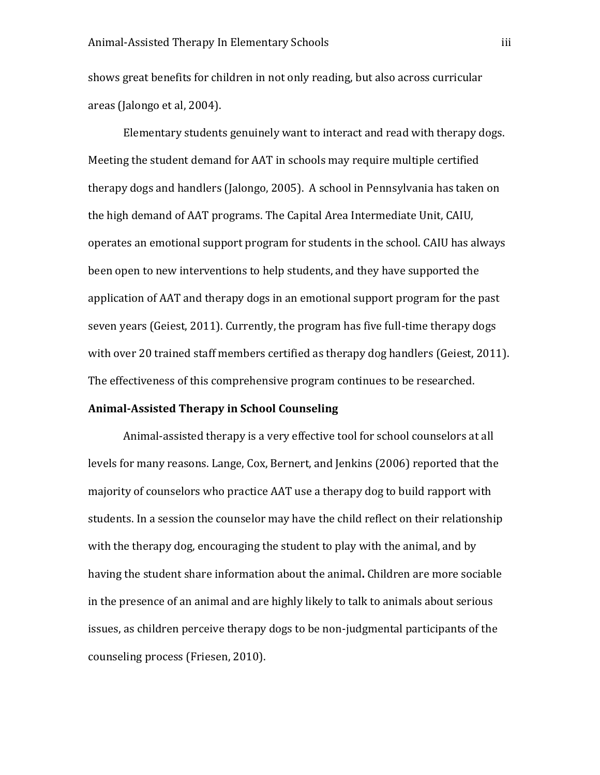shows great benefits for children in not only reading, but also across curricular areas (Jalongo et al, 2004).

Elementary students genuinely want to interact and read with therapy dogs. Meeting the student demand for AAT in schools may require multiple certified therapy dogs and handlers (Jalongo, 2005). A school in Pennsylvania has taken on the high demand of AAT programs. The Capital Area Intermediate Unit, CAIU, operates an emotional support program for students in the school. CAIU has always been open to new interventions to help students, and they have supported the application of AAT and therapy dogs in an emotional support program for the past seven years (Geiest, 2011). Currently, the program has five full-time therapy dogs with over 20 trained staff members certified as therapy dog handlers (Geiest, 2011). The effectiveness of this comprehensive program continues to be researched.

#### **Animal-Assisted Therapy in School Counseling**

Animal-assisted therapy is a very effective tool for school counselors at all levels for many reasons. Lange, Cox, Bernert, and Jenkins (2006) reported that the majority of counselors who practice AAT use a therapy dog to build rapport with students. In a session the counselor may have the child reflect on their relationship with the therapy dog, encouraging the student to play with the animal, and by having the student share information about the animal**.** Children are more sociable in the presence of an animal and are highly likely to talk to animals about serious issues, as children perceive therapy dogs to be non-judgmental participants of the counseling process (Friesen, 2010).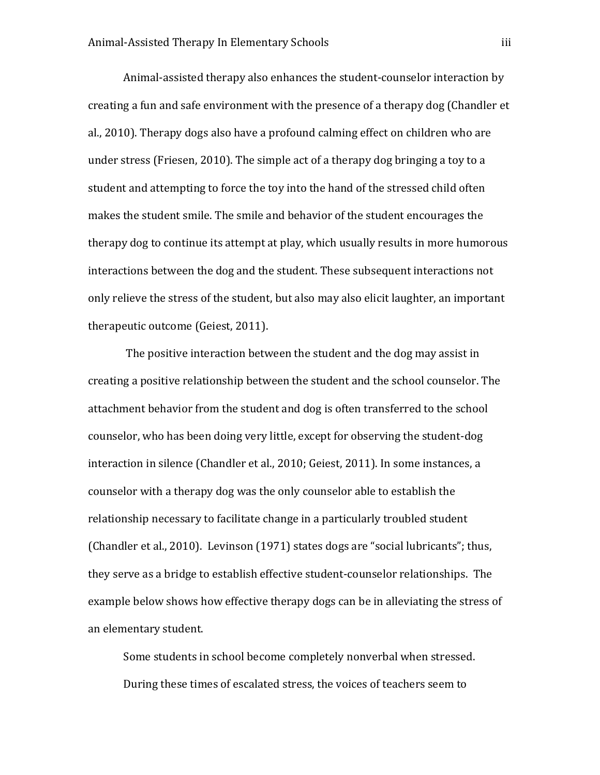Animal-assisted therapy also enhances the student-counselor interaction by creating a fun and safe environment with the presence of a therapy dog (Chandler et al., 2010). Therapy dogs also have a profound calming effect on children who are under stress (Friesen, 2010). The simple act of a therapy dog bringing a toy to a student and attempting to force the toy into the hand of the stressed child often makes the student smile. The smile and behavior of the student encourages the therapy dog to continue its attempt at play, which usually results in more humorous interactions between the dog and the student. These subsequent interactions not only relieve the stress of the student, but also may also elicit laughter, an important therapeutic outcome (Geiest, 2011).

The positive interaction between the student and the dog may assist in creating a positive relationship between the student and the school counselor. The attachment behavior from the student and dog is often transferred to the school counselor, who has been doing very little, except for observing the student-dog interaction in silence (Chandler et al., 2010; Geiest, 2011). In some instances, a counselor with a therapy dog was the only counselor able to establish the relationship necessary to facilitate change in a particularly troubled student (Chandler et al., 2010). Levinson (1971) states dogs are "social lubricants"; thus, they serve as a bridge to establish effective student-counselor relationships. The example below shows how effective therapy dogs can be in alleviating the stress of an elementary student.

Some students in school become completely nonverbal when stressed. During these times of escalated stress, the voices of teachers seem to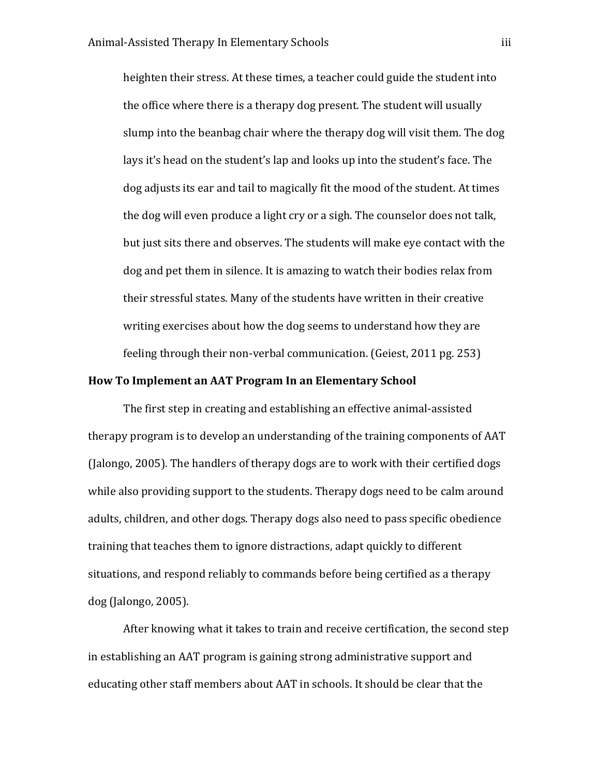heighten their stress. At these times, a teacher could guide the student into the office where there is a therapy dog present. The student will usually slump into the beanbag chair where the therapy dog will visit them. The dog lays it's head on the student's lap and looks up into the student's face. The dog adjusts its ear and tail to magically fit the mood of the student. At times the dog will even produce a light cry or a sigh. The counselor does not talk, but just sits there and observes. The students will make eye contact with the dog and pet them in silence. It is amazing to watch their bodies relax from their stressful states. Many of the students have written in their creative writing exercises about how the dog seems to understand how they are feeling through their non-verbal communication. (Geiest, 2011 pg. 253)

#### **How To Implement an AAT Program In an Elementary School**

The first step in creating and establishing an effective animal-assisted therapy program is to develop an understanding of the training components of AAT (Jalongo, 2005). The handlers of therapy dogs are to work with their certified dogs while also providing support to the students. Therapy dogs need to be calm around adults, children, and other dogs. Therapy dogs also need to pass specific obedience training that teaches them to ignore distractions, adapt quickly to different situations, and respond reliably to commands before being certified as a therapy dog (Jalongo, 2005).

After knowing what it takes to train and receive certification, the second step in establishing an AAT program is gaining strong administrative support and educating other staff members about AAT in schools. It should be clear that the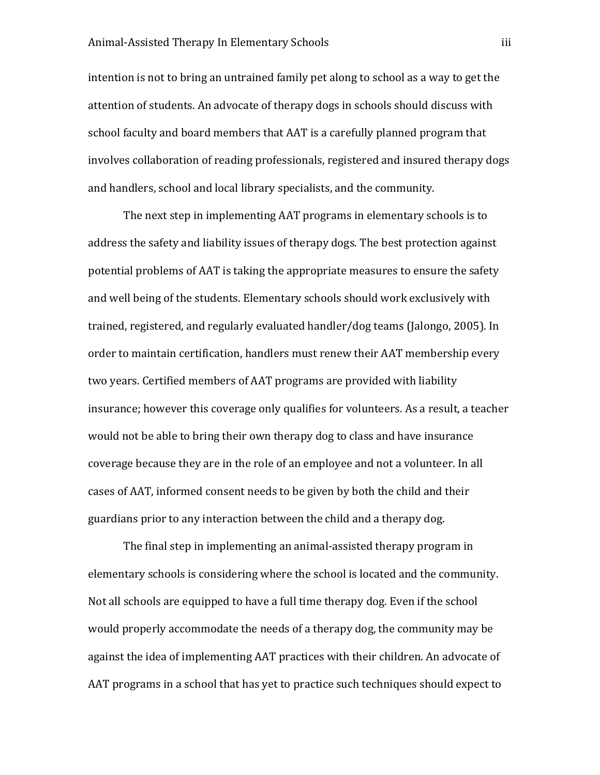intention is not to bring an untrained family pet along to school as a way to get the attention of students. An advocate of therapy dogs in schools should discuss with school faculty and board members that AAT is a carefully planned program that involves collaboration of reading professionals, registered and insured therapy dogs and handlers, school and local library specialists, and the community.

The next step in implementing AAT programs in elementary schools is to address the safety and liability issues of therapy dogs. The best protection against potential problems of AAT is taking the appropriate measures to ensure the safety and well being of the students. Elementary schools should work exclusively with trained, registered, and regularly evaluated handler/dog teams (Jalongo, 2005). In order to maintain certification, handlers must renew their AAT membership every two years. Certified members of AAT programs are provided with liability insurance; however this coverage only qualifies for volunteers. As a result, a teacher would not be able to bring their own therapy dog to class and have insurance coverage because they are in the role of an employee and not a volunteer. In all cases of AAT, informed consent needs to be given by both the child and their guardians prior to any interaction between the child and a therapy dog.

The final step in implementing an animal-assisted therapy program in elementary schools is considering where the school is located and the community. Not all schools are equipped to have a full time therapy dog. Even if the school would properly accommodate the needs of a therapy dog, the community may be against the idea of implementing AAT practices with their children. An advocate of AAT programs in a school that has yet to practice such techniques should expect to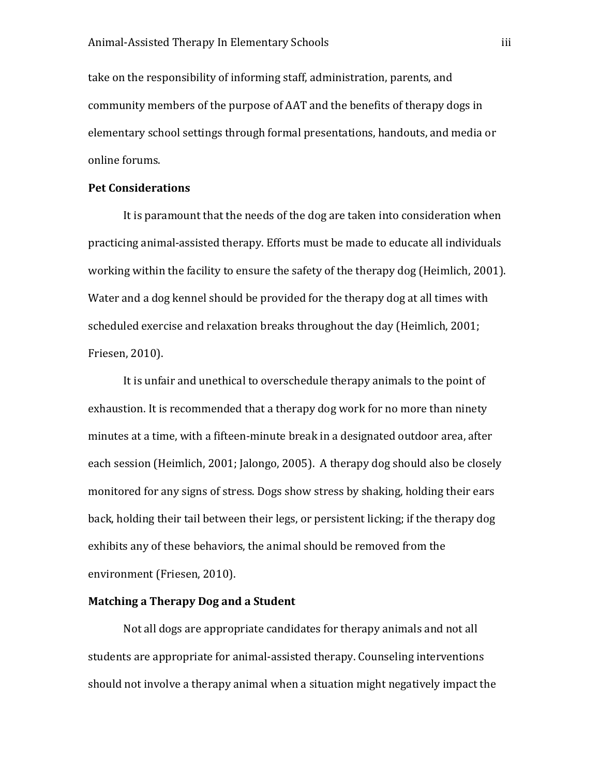take on the responsibility of informing staff, administration, parents, and community members of the purpose of AAT and the benefits of therapy dogs in elementary school settings through formal presentations, handouts, and media or online forums.

# **Pet Considerations**

It is paramount that the needs of the dog are taken into consideration when practicing animal-assisted therapy. Efforts must be made to educate all individuals working within the facility to ensure the safety of the therapy dog (Heimlich, 2001). Water and a dog kennel should be provided for the therapy dog at all times with scheduled exercise and relaxation breaks throughout the day (Heimlich, 2001; Friesen, 2010).

It is unfair and unethical to overschedule therapy animals to the point of exhaustion. It is recommended that a therapy dog work for no more than ninety minutes at a time, with a fifteen-minute break in a designated outdoor area, after each session (Heimlich, 2001; Jalongo, 2005). A therapy dog should also be closely monitored for any signs of stress. Dogs show stress by shaking, holding their ears back, holding their tail between their legs, or persistent licking; if the therapy dog exhibits any of these behaviors, the animal should be removed from the environment (Friesen, 2010).

# **Matching a Therapy Dog and a Student**

Not all dogs are appropriate candidates for therapy animals and not all students are appropriate for animal-assisted therapy. Counseling interventions should not involve a therapy animal when a situation might negatively impact the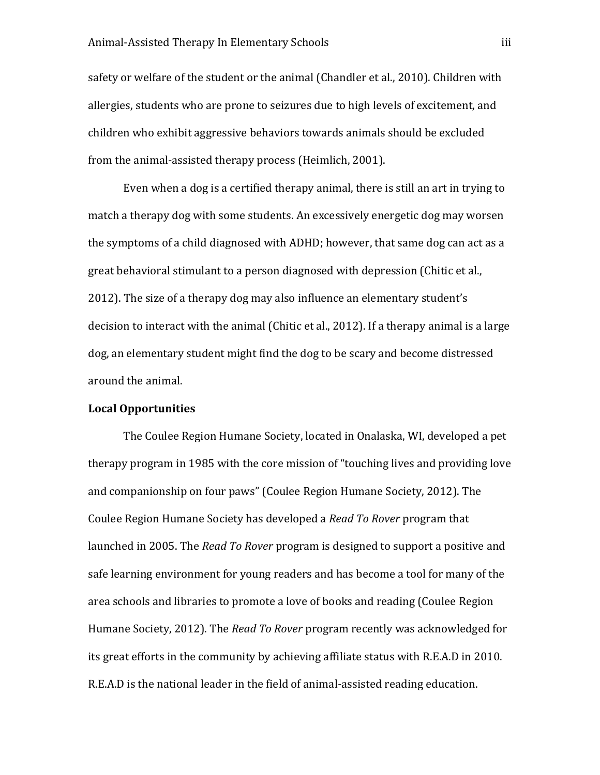safety or welfare of the student or the animal (Chandler et al., 2010). Children with allergies, students who are prone to seizures due to high levels of excitement, and children who exhibit aggressive behaviors towards animals should be excluded from the animal-assisted therapy process (Heimlich, 2001).

Even when a dog is a certified therapy animal, there is still an art in trying to match a therapy dog with some students. An excessively energetic dog may worsen the symptoms of a child diagnosed with ADHD; however, that same dog can act as a great behavioral stimulant to a person diagnosed with depression (Chitic et al., 2012). The size of a therapy dog may also influence an elementary student's decision to interact with the animal (Chitic et al., 2012). If a therapy animal is a large dog, an elementary student might find the dog to be scary and become distressed around the animal.

#### **Local Opportunities**

The Coulee Region Humane Society, located in Onalaska, WI, developed a pet therapy program in 1985 with the core mission of "touching lives and providing love and companionship on four paws" (Coulee Region Humane Society, 2012). The Coulee Region Humane Society has developed a *Read To Rover* program that launched in 2005. The *Read To Rover* program is designed to support a positive and safe learning environment for young readers and has become a tool for many of the area schools and libraries to promote a love of books and reading (Coulee Region Humane Society, 2012). The *Read To Rover* program recently was acknowledged for its great efforts in the community by achieving affiliate status with R.E.A.D in 2010. R.E.A.D is the national leader in the field of animal-assisted reading education.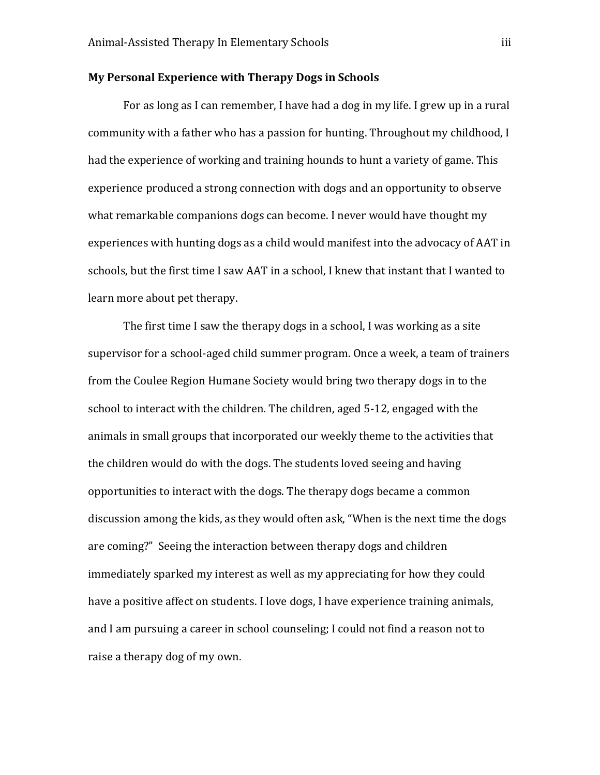# **My Personal Experience with Therapy Dogs in Schools**

For as long as I can remember, I have had a dog in my life. I grew up in a rural community with a father who has a passion for hunting. Throughout my childhood, I had the experience of working and training hounds to hunt a variety of game. This experience produced a strong connection with dogs and an opportunity to observe what remarkable companions dogs can become. I never would have thought my experiences with hunting dogs as a child would manifest into the advocacy of AAT in schools, but the first time I saw AAT in a school, I knew that instant that I wanted to learn more about pet therapy.

The first time I saw the therapy dogs in a school, I was working as a site supervisor for a school-aged child summer program. Once a week, a team of trainers from the Coulee Region Humane Society would bring two therapy dogs in to the school to interact with the children. The children, aged 5-12, engaged with the animals in small groups that incorporated our weekly theme to the activities that the children would do with the dogs. The students loved seeing and having opportunities to interact with the dogs. The therapy dogs became a common discussion among the kids, as they would often ask, "When is the next time the dogs are coming?" Seeing the interaction between therapy dogs and children immediately sparked my interest as well as my appreciating for how they could have a positive affect on students. I love dogs, I have experience training animals, and I am pursuing a career in school counseling; I could not find a reason not to raise a therapy dog of my own.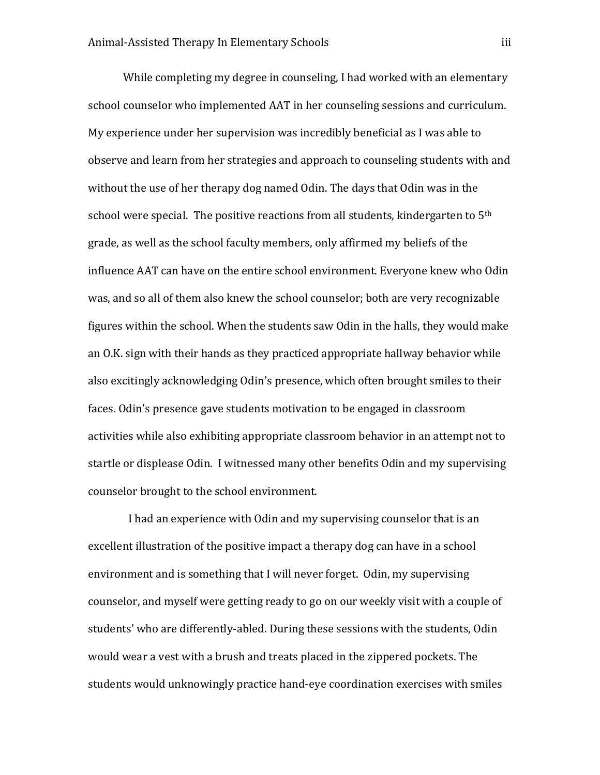While completing my degree in counseling, I had worked with an elementary school counselor who implemented AAT in her counseling sessions and curriculum. My experience under her supervision was incredibly beneficial as I was able to observe and learn from her strategies and approach to counseling students with and without the use of her therapy dog named Odin. The days that Odin was in the school were special. The positive reactions from all students, kindergarten to 5<sup>th</sup> grade, as well as the school faculty members, only affirmed my beliefs of the influence AAT can have on the entire school environment. Everyone knew who Odin was, and so all of them also knew the school counselor; both are very recognizable figures within the school. When the students saw Odin in the halls, they would make an O.K. sign with their hands as they practiced appropriate hallway behavior while also excitingly acknowledging Odin's presence, which often brought smiles to their faces. Odin's presence gave students motivation to be engaged in classroom activities while also exhibiting appropriate classroom behavior in an attempt not to startle or displease Odin. I witnessed many other benefits Odin and my supervising counselor brought to the school environment.

 I had an experience with Odin and my supervising counselor that is an excellent illustration of the positive impact a therapy dog can have in a school environment and is something that I will never forget. Odin, my supervising counselor, and myself were getting ready to go on our weekly visit with a couple of students' who are differently-abled. During these sessions with the students, Odin would wear a vest with a brush and treats placed in the zippered pockets. The students would unknowingly practice hand-eye coordination exercises with smiles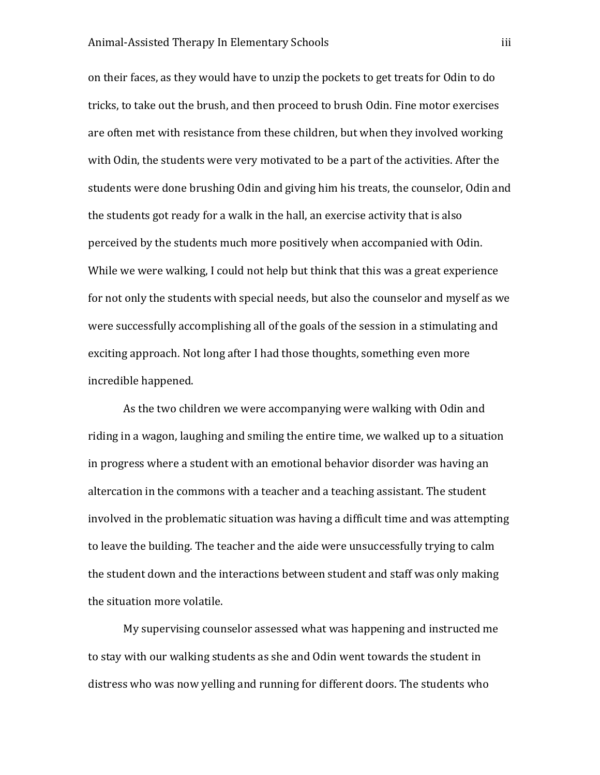on their faces, as they would have to unzip the pockets to get treats for Odin to do tricks, to take out the brush, and then proceed to brush Odin. Fine motor exercises are often met with resistance from these children, but when they involved working with Odin, the students were very motivated to be a part of the activities. After the students were done brushing Odin and giving him his treats, the counselor, Odin and the students got ready for a walk in the hall, an exercise activity that is also perceived by the students much more positively when accompanied with Odin. While we were walking, I could not help but think that this was a great experience for not only the students with special needs, but also the counselor and myself as we were successfully accomplishing all of the goals of the session in a stimulating and exciting approach. Not long after I had those thoughts, something even more incredible happened.

As the two children we were accompanying were walking with Odin and riding in a wagon, laughing and smiling the entire time, we walked up to a situation in progress where a student with an emotional behavior disorder was having an altercation in the commons with a teacher and a teaching assistant. The student involved in the problematic situation was having a difficult time and was attempting to leave the building. The teacher and the aide were unsuccessfully trying to calm the student down and the interactions between student and staff was only making the situation more volatile.

My supervising counselor assessed what was happening and instructed me to stay with our walking students as she and Odin went towards the student in distress who was now yelling and running for different doors. The students who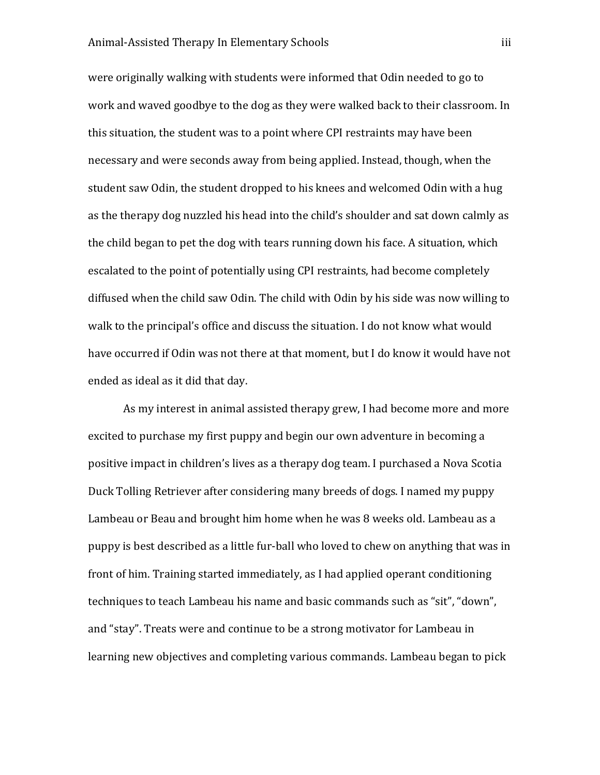were originally walking with students were informed that Odin needed to go to work and waved goodbye to the dog as they were walked back to their classroom. In this situation, the student was to a point where CPI restraints may have been necessary and were seconds away from being applied. Instead, though, when the student saw Odin, the student dropped to his knees and welcomed Odin with a hug as the therapy dog nuzzled his head into the child's shoulder and sat down calmly as the child began to pet the dog with tears running down his face. A situation, which escalated to the point of potentially using CPI restraints, had become completely diffused when the child saw Odin. The child with Odin by his side was now willing to walk to the principal's office and discuss the situation. I do not know what would have occurred if Odin was not there at that moment, but I do know it would have not ended as ideal as it did that day.

As my interest in animal assisted therapy grew, I had become more and more excited to purchase my first puppy and begin our own adventure in becoming a positive impact in children's lives as a therapy dog team. I purchased a Nova Scotia Duck Tolling Retriever after considering many breeds of dogs. I named my puppy Lambeau or Beau and brought him home when he was 8 weeks old. Lambeau as a puppy is best described as a little fur-ball who loved to chew on anything that was in front of him. Training started immediately, as I had applied operant conditioning techniques to teach Lambeau his name and basic commands such as "sit", "down", and "stay". Treats were and continue to be a strong motivator for Lambeau in learning new objectives and completing various commands. Lambeau began to pick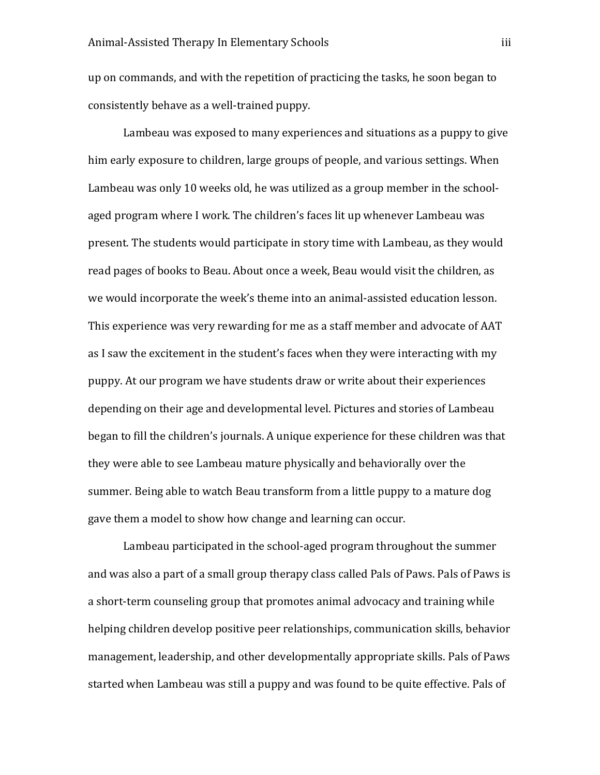up on commands, and with the repetition of practicing the tasks, he soon began to consistently behave as a well-trained puppy.

Lambeau was exposed to many experiences and situations as a puppy to give him early exposure to children, large groups of people, and various settings. When Lambeau was only 10 weeks old, he was utilized as a group member in the schoolaged program where I work. The children's faces lit up whenever Lambeau was present. The students would participate in story time with Lambeau, as they would read pages of books to Beau. About once a week, Beau would visit the children, as we would incorporate the week's theme into an animal-assisted education lesson. This experience was very rewarding for me as a staff member and advocate of AAT as I saw the excitement in the student's faces when they were interacting with my puppy. At our program we have students draw or write about their experiences depending on their age and developmental level. Pictures and stories of Lambeau began to fill the children's journals. A unique experience for these children was that they were able to see Lambeau mature physically and behaviorally over the summer. Being able to watch Beau transform from a little puppy to a mature dog gave them a model to show how change and learning can occur.

Lambeau participated in the school-aged program throughout the summer and was also a part of a small group therapy class called Pals of Paws. Pals of Paws is a short-term counseling group that promotes animal advocacy and training while helping children develop positive peer relationships, communication skills, behavior management, leadership, and other developmentally appropriate skills. Pals of Paws started when Lambeau was still a puppy and was found to be quite effective. Pals of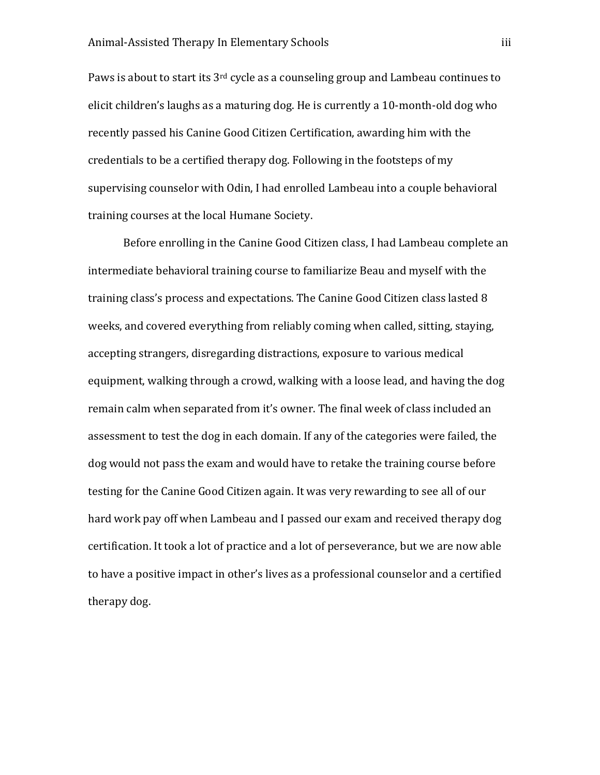Paws is about to start its 3rd cycle as a counseling group and Lambeau continues to elicit children's laughs as a maturing dog. He is currently a 10-month-old dog who recently passed his Canine Good Citizen Certification, awarding him with the credentials to be a certified therapy dog. Following in the footsteps of my supervising counselor with Odin, I had enrolled Lambeau into a couple behavioral training courses at the local Humane Society.

Before enrolling in the Canine Good Citizen class, I had Lambeau complete an intermediate behavioral training course to familiarize Beau and myself with the training class's process and expectations. The Canine Good Citizen class lasted 8 weeks, and covered everything from reliably coming when called, sitting, staying, accepting strangers, disregarding distractions, exposure to various medical equipment, walking through a crowd, walking with a loose lead, and having the dog remain calm when separated from it's owner. The final week of class included an assessment to test the dog in each domain. If any of the categories were failed, the dog would not pass the exam and would have to retake the training course before testing for the Canine Good Citizen again. It was very rewarding to see all of our hard work pay off when Lambeau and I passed our exam and received therapy dog certification. It took a lot of practice and a lot of perseverance, but we are now able to have a positive impact in other's lives as a professional counselor and a certified therapy dog.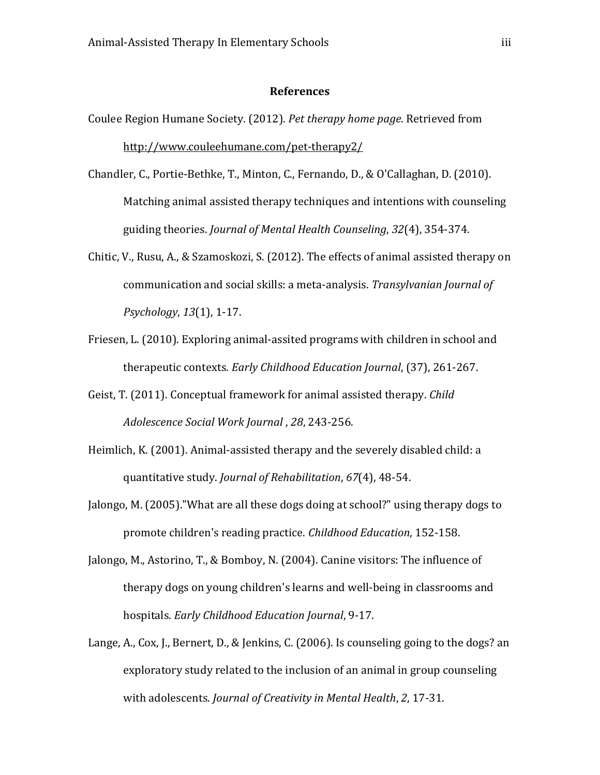#### **References**

- Coulee Region Humane Society. (2012). *Pet therapy home page*. Retrieved from <http://www.couleehumane.com/pet-therapy2/>
- Chandler, C., Portie-Bethke, T., Minton, C., Fernando, D., & O'Callaghan, D. (2010). Matching animal assisted therapy techniques and intentions with counseling guiding theories. *Journal of Mental Health Counseling*, *32*(4), 354-374.
- Chitic, V., Rusu, A., & Szamoskozi, S. (2012). The effects of animal assisted therapy on communication and social skills: a meta-analysis. *Transylvanian Journal of Psychology*, *13*(1), 1-17.
- Friesen, L. (2010). Exploring animal-assited programs with children in school and therapeutic contexts. *Early Childhood Education Journal*, (37), 261-267.
- Geist, T. (2011). Conceptual framework for animal assisted therapy. *Child Adolescence Social Work Journal* , *28*, 243-256.
- Heimlich, K. (2001). Animal-assisted therapy and the severely disabled child: a quantitative study. *Journal of Rehabilitation*, *67*(4), 48-54.
- Jalongo, M. (2005)."What are all these dogs doing at school?" using therapy dogs to promote children's reading practice. *Childhood Education*, 152-158.
- Jalongo, M., Astorino, T., & Bomboy, N. (2004). Canine visitors: The influence of therapy dogs on young children's learns and well-being in classrooms and hospitals. *Early Childhood Education Journal*, 9-17.
- Lange, A., Cox, J., Bernert, D., & Jenkins, C. (2006). Is counseling going to the dogs? an exploratory study related to the inclusion of an animal in group counseling with adolescents. *Journal of Creativity in Mental Health*, *2*, 17-31.